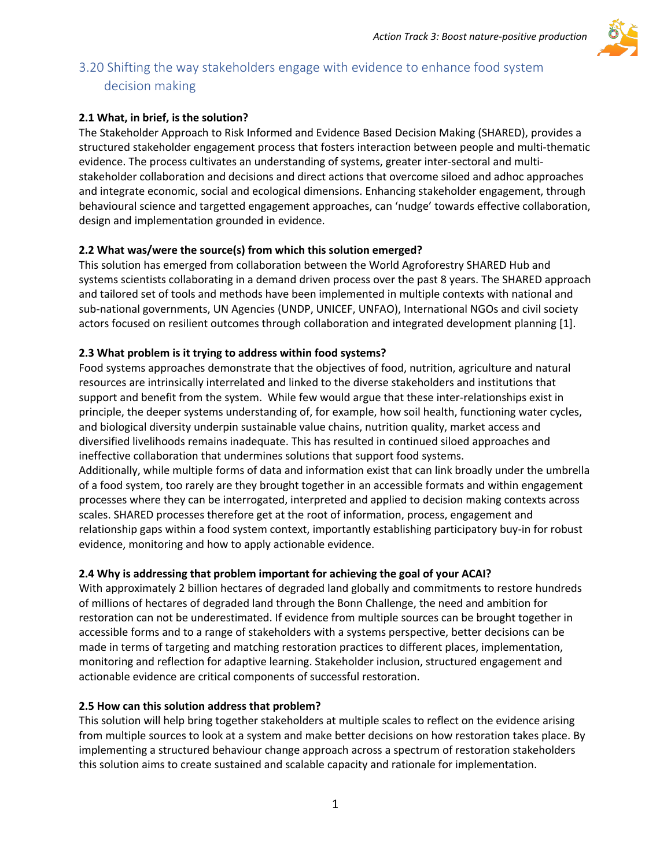

# 3.20 Shifting the way stakeholders engage with evidence to enhance food system decision making

# **2.1 What, in brief, is the solution?**

The Stakeholder Approach to Risk Informed and Evidence Based Decision Making (SHARED), provides a structured stakeholder engagement process that fosters interaction between people and multi-thematic evidence. The process cultivates an understanding of systems, greater inter-sectoral and multistakeholder collaboration and decisions and direct actions that overcome siloed and adhoc approaches and integrate economic, social and ecological dimensions. Enhancing stakeholder engagement, through behavioural science and targetted engagement approaches, can 'nudge' towards effective collaboration, design and implementation grounded in evidence.

# **2.2 What was/were the source(s) from which this solution emerged?**

This solution has emerged from collaboration between the World Agroforestry SHARED Hub and systems scientists collaborating in a demand driven process over the past 8 years. The SHARED approach and tailored set of tools and methods have been implemented in multiple contexts with national and sub-national governments, UN Agencies (UNDP, UNICEF, UNFAO), International NGOs and civil society actors focused on resilient outcomes through collaboration and integrated development planning [1].

### **2.3 What problem is it trying to address within food systems?**

Food systems approaches demonstrate that the objectives of food, nutrition, agriculture and natural resources are intrinsically interrelated and linked to the diverse stakeholders and institutions that support and benefit from the system. While few would argue that these inter-relationships exist in principle, the deeper systems understanding of, for example, how soil health, functioning water cycles, and biological diversity underpin sustainable value chains, nutrition quality, market access and diversified livelihoods remains inadequate. This has resulted in continued siloed approaches and ineffective collaboration that undermines solutions that support food systems.

Additionally, while multiple forms of data and information exist that can link broadly under the umbrella of a food system, too rarely are they brought together in an accessible formats and within engagement processes where they can be interrogated, interpreted and applied to decision making contexts across scales. SHARED processes therefore get at the root of information, process, engagement and relationship gaps within a food system context, importantly establishing participatory buy-in for robust evidence, monitoring and how to apply actionable evidence.

### **2.4 Why is addressing that problem important for achieving the goal of your ACAI?**

With approximately 2 billion hectares of degraded land globally and commitments to restore hundreds of millions of hectares of degraded land through the Bonn Challenge, the need and ambition for restoration can not be underestimated. If evidence from multiple sources can be brought together in accessible forms and to a range of stakeholders with a systems perspective, better decisions can be made in terms of targeting and matching restoration practices to different places, implementation, monitoring and reflection for adaptive learning. Stakeholder inclusion, structured engagement and actionable evidence are critical components of successful restoration.

### **2.5 How can this solution address that problem?**

This solution will help bring together stakeholders at multiple scales to reflect on the evidence arising from multiple sources to look at a system and make better decisions on how restoration takes place. By implementing a structured behaviour change approach across a spectrum of restoration stakeholders this solution aims to create sustained and scalable capacity and rationale for implementation.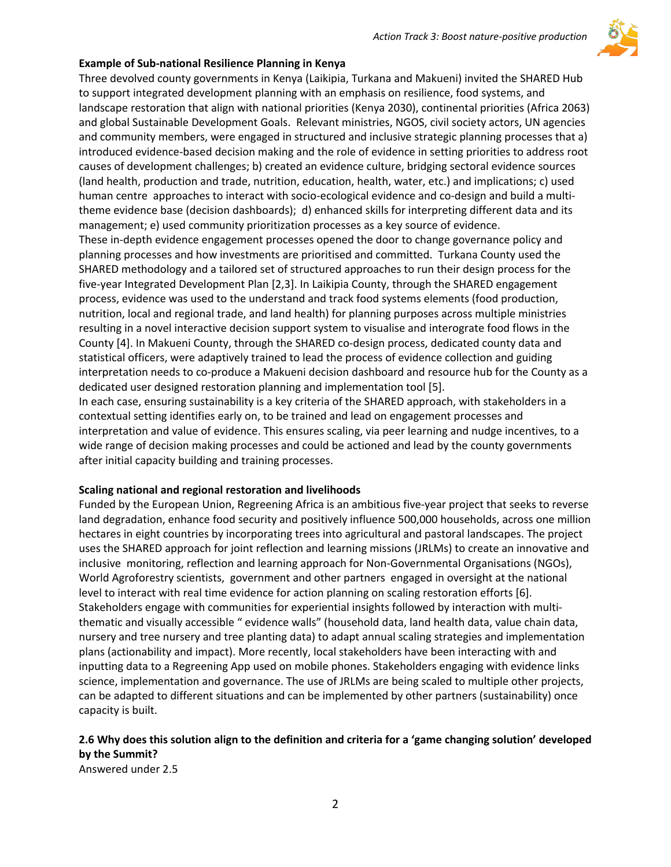

### **Example of Sub-national Resilience Planning in Kenya**

Three devolved county governments in Kenya (Laikipia, Turkana and Makueni) invited the SHARED Hub to support integrated development planning with an emphasis on resilience, food systems, and landscape restoration that align with national priorities (Kenya 2030), continental priorities (Africa 2063) and global Sustainable Development Goals. Relevant ministries, NGOS, civil society actors, UN agencies and community members, were engaged in structured and inclusive strategic planning processes that a) introduced evidence-based decision making and the role of evidence in setting priorities to address root causes of development challenges; b) created an evidence culture, bridging sectoral evidence sources (land health, production and trade, nutrition, education, health, water, etc.) and implications; c) used human centre approaches to interact with socio-ecological evidence and co-design and build a multitheme evidence base (decision dashboards); d) enhanced skills for interpreting different data and its management; e) used community prioritization processes as a key source of evidence.

These in-depth evidence engagement processes opened the door to change governance policy and planning processes and how investments are prioritised and committed. Turkana County used the SHARED methodology and a tailored set of structured approaches to run their design process for the five-year Integrated Development Plan [2,3]. In Laikipia County, through the SHARED engagement process, evidence was used to the understand and track food systems elements (food production, nutrition, local and regional trade, and land health) for planning purposes across multiple ministries resulting in a novel interactive decision support system to visualise and interograte food flows in the County [4]. In Makueni County, through the SHARED co-design process, dedicated county data and statistical officers, were adaptively trained to lead the process of evidence collection and guiding interpretation needs to co-produce a Makueni decision dashboard and resource hub for the County as a dedicated user designed restoration planning and implementation tool [5].

In each case, ensuring sustainability is a key criteria of the SHARED approach, with stakeholders in a contextual setting identifies early on, to be trained and lead on engagement processes and interpretation and value of evidence. This ensures scaling, via peer learning and nudge incentives, to a wide range of decision making processes and could be actioned and lead by the county governments after initial capacity building and training processes.

#### **Scaling national and regional restoration and livelihoods**

Funded by the European Union, Regreening Africa is an ambitious five-year project that seeks to reverse land degradation, enhance food security and positively influence 500,000 households, across one million hectares in eight countries by incorporating trees into agricultural and pastoral landscapes. The project uses the SHARED approach for joint reflection and learning missions (JRLMs) to create an innovative and inclusive monitoring, reflection and learning approach for Non-Governmental Organisations (NGOs), World Agroforestry scientists, government and other partners engaged in oversight at the national level to interact with real time evidence for action planning on scaling restoration efforts [6]. Stakeholders engage with communities for experiential insights followed by interaction with multithematic and visually accessible " evidence walls" (household data, land health data, value chain data, nursery and tree nursery and tree planting data) to adapt annual scaling strategies and implementation plans (actionability and impact). More recently, local stakeholders have been interacting with and inputting data to a Regreening App used on mobile phones. Stakeholders engaging with evidence links science, implementation and governance. The use of JRLMs are being scaled to multiple other projects, can be adapted to different situations and can be implemented by other partners (sustainability) once capacity is built.

# **2.6 Why does this solution align to the definition and criteria for a 'game changing solution' developed by the Summit?**

Answered under 2.5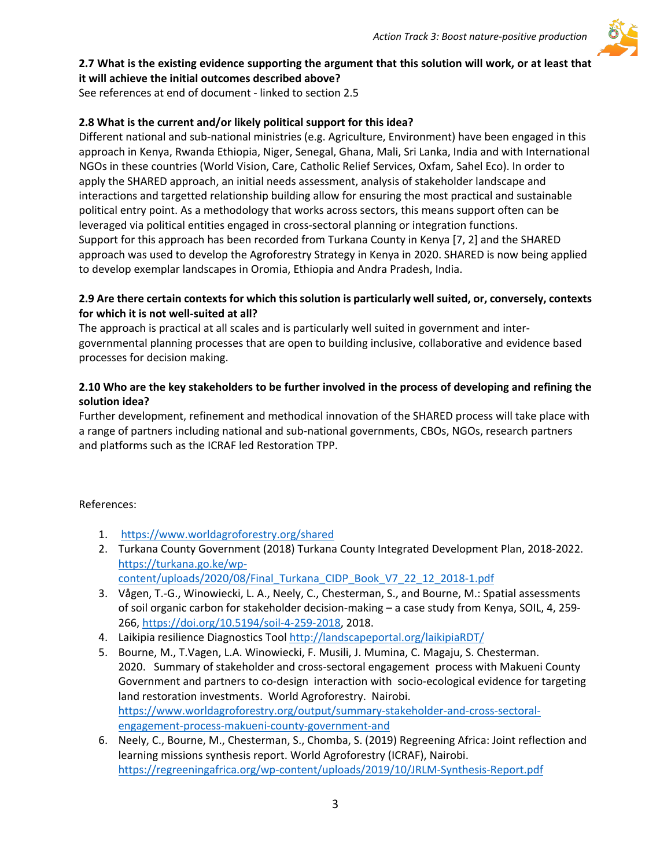

See references at end of document - linked to section 2.5

### **2.8 What is the current and/or likely political support for this idea?**

Different national and sub-national ministries (e.g. Agriculture, Environment) have been engaged in this approach in Kenya, Rwanda Ethiopia, Niger, Senegal, Ghana, Mali, Sri Lanka, India and with International NGOs in these countries (World Vision, Care, Catholic Relief Services, Oxfam, Sahel Eco). In order to apply the SHARED approach, an initial needs assessment, analysis of stakeholder landscape and interactions and targetted relationship building allow for ensuring the most practical and sustainable political entry point. As a methodology that works across sectors, this means support often can be leveraged via political entities engaged in cross-sectoral planning or integration functions. Support for this approach has been recorded from Turkana County in Kenya [7, 2] and the SHARED approach was used to develop the Agroforestry Strategy in Kenya in 2020. SHARED is now being applied to develop exemplar landscapes in Oromia, Ethiopia and Andra Pradesh, India.

### **2.9 Are there certain contexts for which this solution is particularly well suited, or, conversely, contexts for which it is not well-suited at all?**

The approach is practical at all scales and is particularly well suited in government and intergovernmental planning processes that are open to building inclusive, collaborative and evidence based processes for decision making.

### **2.10 Who are the key stakeholders to be further involved in the process of developing and refining the solution idea?**

Further development, refinement and methodical innovation of the SHARED process will take place with a range of partners including national and sub-national governments, CBOs, NGOs, research partners and platforms such as the ICRAF led Restoration TPP.

### References:

- 1. https://www.worldagroforestry.org/shared
- 2. Turkana County Government (2018) Turkana County Integrated Development Plan, 2018-2022. https://turkana.go.ke/wp
	- content/uploads/2020/08/Final\_Turkana\_CIDP\_Book\_V7\_22\_12\_2018-1.pdf
- 3. Vågen, T.-G., Winowiecki, L. A., Neely, C., Chesterman, S., and Bourne, M.: Spatial assessments of soil organic carbon for stakeholder decision-making – a case study from Kenya, SOIL, 4, 259- 266, https://doi.org/10.5194/soil-4-259-2018, 2018.
- 4. Laikipia resilience Diagnostics Tool http://landscapeportal.org/laikipiaRDT/
- 5. Bourne, M., T.Vagen, L.A. Winowiecki, F. Musili, J. Mumina, C. Magaju, S. Chesterman. 2020. Summary of stakeholder and cross-sectoral engagement process with Makueni County Government and partners to co-design interaction with socio-ecological evidence for targeting land restoration investments. World Agroforestry. Nairobi. https://www.worldagroforestry.org/output/summary-stakeholder-and-cross-sectoralengagement-process-makueni-county-government-and
- 6. Neely, C., Bourne, M., Chesterman, S., Chomba, S. (2019) Regreening Africa: Joint reflection and learning missions synthesis report. World Agroforestry (ICRAF), Nairobi. https://regreeningafrica.org/wp-content/uploads/2019/10/JRLM-Synthesis-Report.pdf